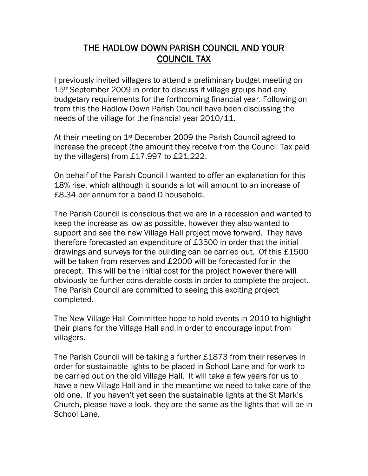## THE HADLOW DOWN PARISH COUNCIL AND YOUR COUNCIL TAX

I previously invited villagers to attend a preliminary budget meeting on 15th September 2009 in order to discuss if village groups had any budgetary requirements for the forthcoming financial year. Following on from this the Hadlow Down Parish Council have been discussing the needs of the village for the financial year 2010/11.

At their meeting on 1<sup>st</sup> December 2009 the Parish Council agreed to increase the precept (the amount they receive from the Council Tax paid by the villagers) from £17,997 to £21,222.

On behalf of the Parish Council I wanted to offer an explanation for this 18% rise, which although it sounds a lot will amount to an increase of £8.34 per annum for a band D household.

The Parish Council is conscious that we are in a recession and wanted to keep the increase as low as possible, however they also wanted to support and see the new Village Hall project move forward. They have therefore forecasted an expenditure of £3500 in order that the initial drawings and surveys for the building can be carried out. Of this £1500 will be taken from reserves and £2000 will be forecasted for in the precept. This will be the initial cost for the project however there will obviously be further considerable costs in order to complete the project. The Parish Council are committed to seeing this exciting project completed.

The New Village Hall Committee hope to hold events in 2010 to highlight their plans for the Village Hall and in order to encourage input from villagers.

The Parish Council will be taking a further £1873 from their reserves in order for sustainable lights to be placed in School Lane and for work to be carried out on the old Village Hall. It will take a few years for us to have a new Village Hall and in the meantime we need to take care of the old one. If you haven't yet seen the sustainable lights at the St Mark's Church, please have a look, they are the same as the lights that will be in School Lane.